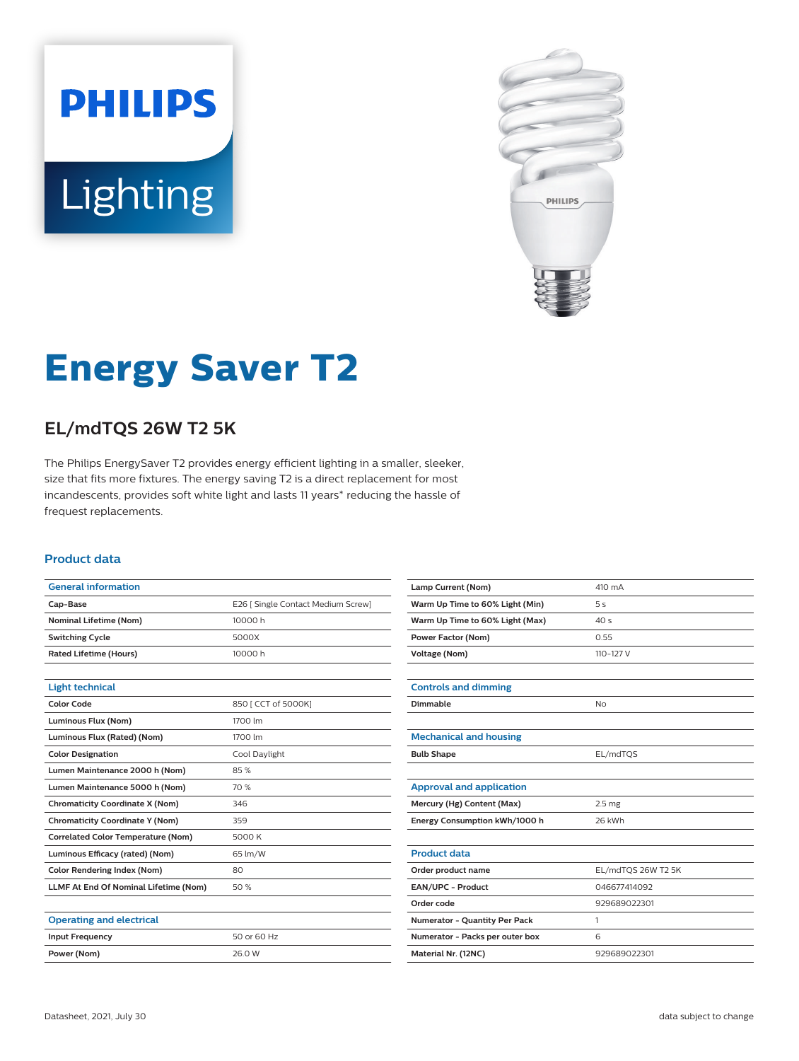



# **Energy Saver T2**

## **EL/mdTQS 26W T2 5K**

The Philips EnergySaver T2 provides energy efficient lighting in a smaller, sleeker, size that fits more fixtures. The energy saving T2 is a direct replacement for most incandescents, provides soft white light and lasts 11 years\* reducing the hassle of frequest replacements.

#### **Product data**

| <b>General information</b>                   |                                    |  |  |
|----------------------------------------------|------------------------------------|--|--|
| Cap-Base                                     | E26   Single Contact Medium Screw] |  |  |
| <b>Nominal Lifetime (Nom)</b>                | 10000 h                            |  |  |
| <b>Switching Cycle</b>                       | 5000X                              |  |  |
| <b>Rated Lifetime (Hours)</b>                | 10000 h                            |  |  |
|                                              |                                    |  |  |
| <b>Light technical</b>                       |                                    |  |  |
| <b>Color Code</b>                            | 850 [ CCT of 5000K]                |  |  |
| Luminous Flux (Nom)                          | 1700 lm                            |  |  |
| Luminous Flux (Rated) (Nom)                  | 1700 lm                            |  |  |
| <b>Color Designation</b>                     | Cool Daylight                      |  |  |
| Lumen Maintenance 2000 h (Nom)               | 85%                                |  |  |
| Lumen Maintenance 5000 h (Nom)               | 70 %                               |  |  |
| <b>Chromaticity Coordinate X (Nom)</b>       | 346                                |  |  |
| <b>Chromaticity Coordinate Y (Nom)</b>       | 359                                |  |  |
| <b>Correlated Color Temperature (Nom)</b>    | 5000 K                             |  |  |
| Luminous Efficacy (rated) (Nom)              | 65 lm/W                            |  |  |
| <b>Color Rendering Index (Nom)</b>           | 80                                 |  |  |
| <b>LLMF At End Of Nominal Lifetime (Nom)</b> | 50%                                |  |  |
|                                              |                                    |  |  |
| <b>Operating and electrical</b>              |                                    |  |  |
| <b>Input Frequency</b>                       | 50 or 60 Hz                        |  |  |
| Power (Nom)                                  | 26.0 W                             |  |  |

| Lamp Current (Nom)              | 410 mA             |  |  |
|---------------------------------|--------------------|--|--|
| Warm Up Time to 60% Light (Min) | 5s                 |  |  |
| Warm Up Time to 60% Light (Max) | 40s                |  |  |
| <b>Power Factor (Nom)</b>       | 0.55               |  |  |
| <b>Voltage (Nom)</b>            | 110-127 V          |  |  |
|                                 |                    |  |  |
| <b>Controls and dimming</b>     |                    |  |  |
| Dimmable                        | <b>No</b>          |  |  |
|                                 |                    |  |  |
| <b>Mechanical and housing</b>   |                    |  |  |
| <b>Bulb Shape</b>               | EL/mdTQS           |  |  |
|                                 |                    |  |  |
| <b>Approval and application</b> |                    |  |  |
| Mercury (Hg) Content (Max)      | 2.5 <sub>mg</sub>  |  |  |
| Energy Consumption kWh/1000 h   | 26 kWh             |  |  |
|                                 |                    |  |  |
| <b>Product data</b>             |                    |  |  |
| Order product name              | EL/mdTQS 26W T2 5K |  |  |
| EAN/UPC - Product               | 046677414092       |  |  |
| Order code                      | 929689022301       |  |  |
| Numerator - Quantity Per Pack   | 1                  |  |  |
| Numerator - Packs per outer box | 6                  |  |  |
| Material Nr. (12NC)             | 929689022301       |  |  |
|                                 |                    |  |  |